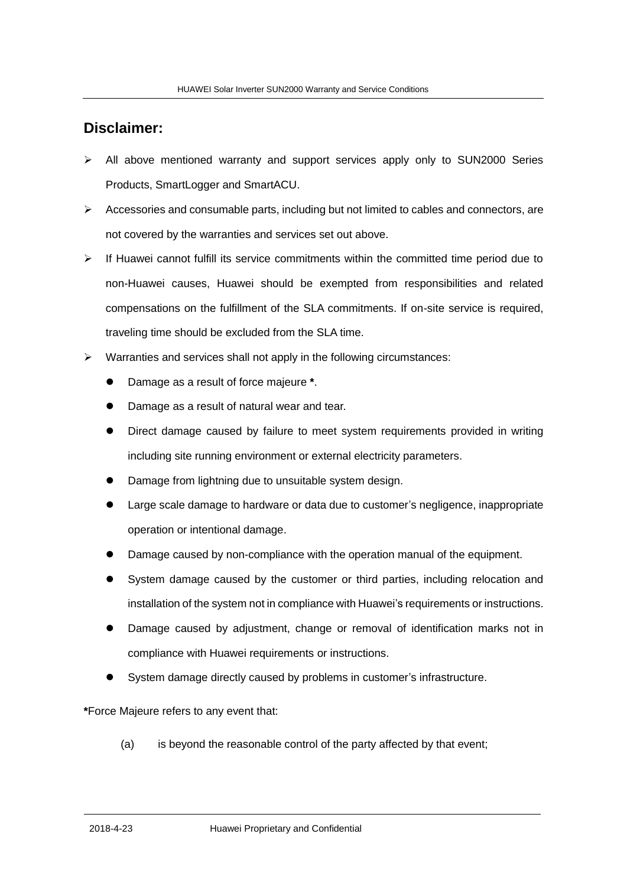## **Disclaimer:**

- $\triangleright$  All above mentioned warranty and support services apply only to SUN2000 Series Products, SmartLogger and SmartACU.
- $\triangleright$  Accessories and consumable parts, including but not limited to cables and connectors, are not covered by the warranties and services set out above.
- $\triangleright$  If Huawei cannot fulfill its service commitments within the committed time period due to non-Huawei causes, Huawei should be exempted from responsibilities and related compensations on the fulfillment of the SLA commitments. If on-site service is required, traveling time should be excluded from the SLA time.
- $\triangleright$  Warranties and services shall not apply in the following circumstances:
	- Damage as a result of force majeure **\***.
	- Damage as a result of natural wear and tear.
	- Direct damage caused by failure to meet system requirements provided in writing including site running environment or external electricity parameters.
	- Damage from lightning due to unsuitable system design.
	- Large scale damage to hardware or data due to customer's negligence, inappropriate operation or intentional damage.
	- Damage caused by non-compliance with the operation manual of the equipment.
	- System damage caused by the customer or third parties, including relocation and installation of the system not in compliance with Huawei's requirements or instructions.
	- Damage caused by adjustment, change or removal of identification marks not in compliance with Huawei requirements or instructions.
	- System damage directly caused by problems in customer's infrastructure.

**\***Force Majeure refers to any event that:

(a) is beyond the reasonable control of the party affected by that event;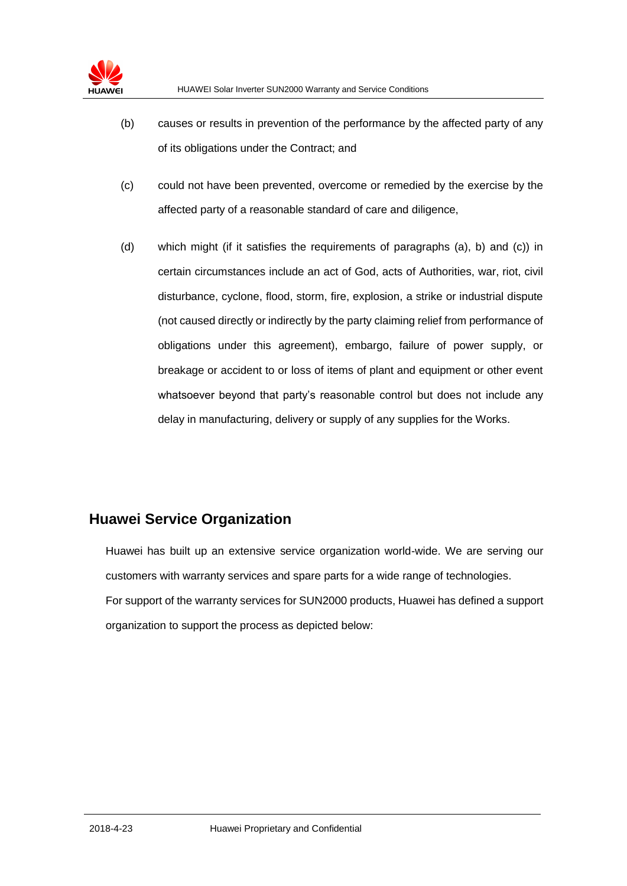- (b) causes or results in prevention of the performance by the affected party of any of its obligations under the Contract; and
- (c) could not have been prevented, overcome or remedied by the exercise by the affected party of a reasonable standard of care and diligence,
- (d) which might (if it satisfies the requirements of paragraphs (a), b) and (c)) in certain circumstances include an act of God, acts of Authorities, war, riot, civil disturbance, cyclone, flood, storm, fire, explosion, a strike or industrial dispute (not caused directly or indirectly by the party claiming relief from performance of obligations under this agreement), embargo, failure of power supply, or breakage or accident to or loss of items of plant and equipment or other event whatsoever beyond that party's reasonable control but does not include any delay in manufacturing, delivery or supply of any supplies for the Works.

## **Huawei Service Organization**

Huawei has built up an extensive service organization world-wide. We are serving our customers with warranty services and spare parts for a wide range of technologies. For support of the warranty services for SUN2000 products, Huawei has defined a support organization to support the process as depicted below: